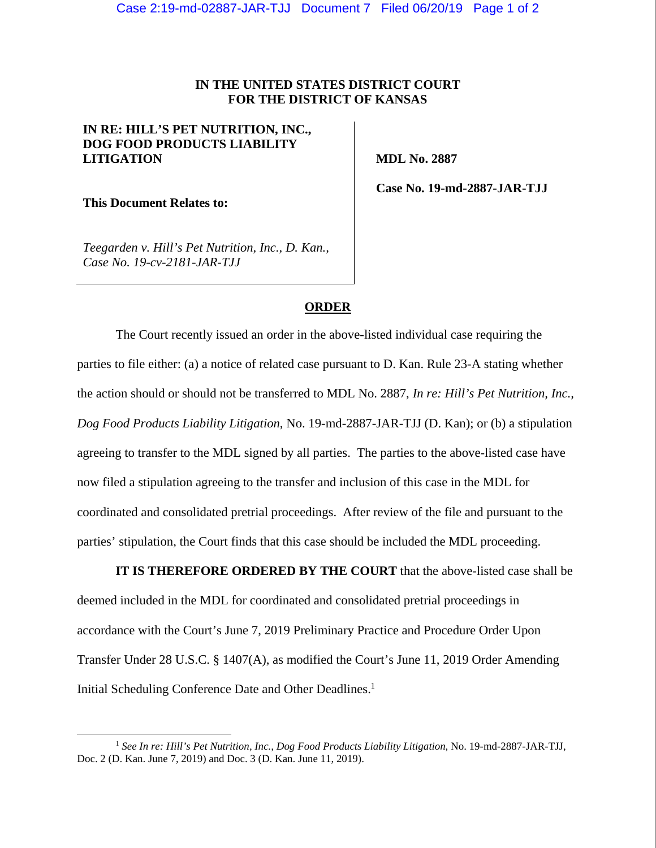## **IN THE UNITED STATES DISTRICT COURT FOR THE DISTRICT OF KANSAS**

## **IN RE: HILL'S PET NUTRITION, INC., DOG FOOD PRODUCTS LIABILITY LITIGATION**

 **MDL No. 2887** 

**This Document Relates to:** 

 **Case No. 19-md-2887-JAR-TJJ** 

*Teegarden v. Hill's Pet Nutrition, Inc., D. Kan., Case No. 19-cv-2181-JAR-TJJ* 

## **ORDER**

The Court recently issued an order in the above-listed individual case requiring the parties to file either: (a) a notice of related case pursuant to D. Kan. Rule 23-A stating whether the action should or should not be transferred to MDL No. 2887, *In re: Hill's Pet Nutrition, Inc., Dog Food Products Liability Litigation*, No. 19-md-2887-JAR-TJJ (D. Kan); or (b) a stipulation agreeing to transfer to the MDL signed by all parties. The parties to the above-listed case have now filed a stipulation agreeing to the transfer and inclusion of this case in the MDL for coordinated and consolidated pretrial proceedings. After review of the file and pursuant to the parties' stipulation, the Court finds that this case should be included the MDL proceeding.

**IT IS THEREFORE ORDERED BY THE COURT** that the above-listed case shall be deemed included in the MDL for coordinated and consolidated pretrial proceedings in accordance with the Court's June 7, 2019 Preliminary Practice and Procedure Order Upon Transfer Under 28 U.S.C. § 1407(A), as modified the Court's June 11, 2019 Order Amending Initial Scheduling Conference Date and Other Deadlines.<sup>1</sup>

 <sup>1</sup> *See In re: Hill's Pet Nutrition, Inc., Dog Food Products Liability Litigation*, No. 19-md-2887-JAR-TJJ, Doc. 2 (D. Kan. June 7, 2019) and Doc. 3 (D. Kan. June 11, 2019).